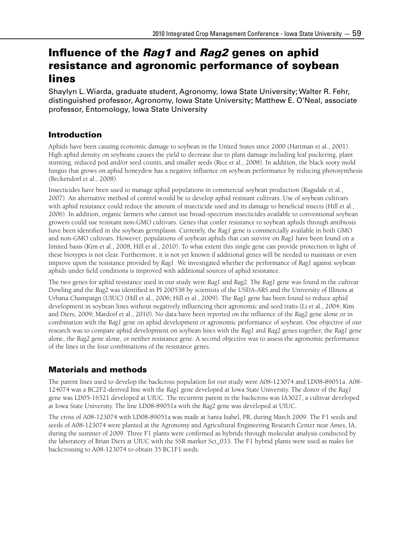# Influence of the *Rag1* and *Rag2* genes on aphid resistance and agronomic performance of soybean lines

Shaylyn L. Wiarda, graduate student, Agronomy, Iowa State University; Walter R. Fehr, distinguished professor, Agronomy, Iowa State University; Matthew E. O'Neal, associate professor, Entomology, Iowa State University

# Introduction

Aphids have been causing economic damage to soybean in the United States since 2000 (Hartman et al., 2001). High aphid density on soybeans causes the yield to decrease due to plant damage including leaf puckering, plant stunting, reduced pod and/or seed counts, and smaller seeds (Rice et al., 2008). In addition, the black sooty mold fungus that grows on aphid honeydew has a negative influence on soybean performance by reducing photosynthesis (Beckendorf et al., 2008).

Insecticides have been used to manage aphid populations in commercial soybean production (Ragsdale et al., 2007). An alternative method of control would be to develop aphid resistant cultivars. Use of soybean cultivars with aphid resistance could reduce the amount of insecticide used and its damage to beneficial insects (Hill et al., 2006). In addition, organic farmers who cannot use broad-spectrum insecticides available to conventional soybean growers could use resistant non-GMO cultivars. Genes that confer resistance to soybean aphids through antibiosis have been identified in the soybean germplasm. Currently, the *Rag1* gene is commercially available in both GMO and non-GMO cultivars. However, populations of soybean aphids that can survive on *Rag1* have been found on a limited basis (Kim et al., 2008; Hill et al., 2010). To what extent this single gene can provide protection in light of these biotypes is not clear. Furthermore, it is not yet known if additional genes will be needed to maintain or even improve upon the resistance provided by *Rag1*. We investigated whether the performance of *Rag1* against soybean aphids under field conditions is improved with additional sources of aphid resistance.

The two genes for aphid resistance used in our study were *Rag1* and *Rag2*. The *Rag1* gene was found in the cultivar Dowling and the *Rag2* was identified in PI 200538 by scientists of the USDA-ARS and the University of Illinois at Urbana Champaign (UIUC) (Hill et al., 2006; Hill et al., 2009). The *Rag1* gene has been found to reduce aphid development in soybean lines without negatively influencing their agronomic and seed traits (Li et al., 2004; Kim and Diers, 2009; Mardorf et al., 2010). No data have been reported on the influence of the *Rag2* gene alone or in combination with the *Rag1* gene on aphid development or agronomic performance of soybean. One objective of our research was to compare aphid development on soybean lines with the *Rag1* and *Rag2* genes together, the *Rag1* gene alone, the *Rag2* gene alone, or neither resistance gene. A second objective was to assess the agronomic performance of the lines in the four combinations of the resistance genes.

# Materials and methods

The parent lines used to develop the backcross population for our study were A08-123074 and LD08-89051a. A08- 124074 was a BC2F2-derived line with the *Rag1* gene developed at Iowa State University. The donor of the *Rag1* gene was LD05-16521 developed at UIUC. The recurrent parent in the backcross was IA3027, a cultivar developed at Iowa State University. The line LD08-89051a with the *Rag2* gene was developed at UIUC.

The cross of A08-123074 with LD08-89051a was made at Santa Isabel, PR, during March 2009. The F1 seeds and seeds of A08-123074 were planted at the Agronomy and Agricultural Engineering Research Center near Ames, IA, during the summer of 2009. Three F1 plants were confirmed as hybrids through molecular analysis conducted by the laboratory of Brian Diers at UIUC with the SSR marker Sct\_033. The F1 hybrid plants were used as males for backcrossing to A08-123074 to obtain 35 BC1F1 seeds.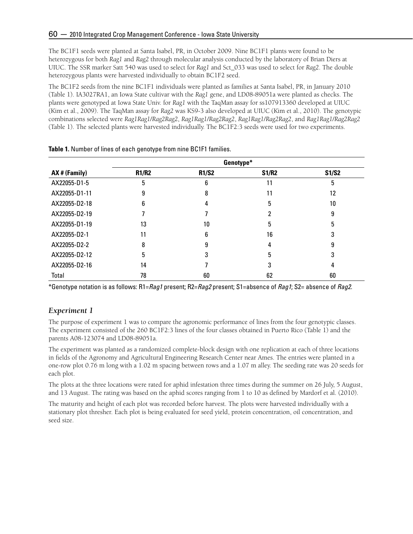The BC1F1 seeds were planted at Santa Isabel, PR, in October 2009. Nine BC1F1 plants were found to be heterozygous for both *Rag1* and *Rag2* through molecular analysis conducted by the laboratory of Brian Diers at UIUC. The SSR marker Satt 540 was used to select for *Rag1* and Sct\_033 was used to select for *Rag2*. The double heterozygous plants were harvested individually to obtain BC1F2 seed.

The BC1F2 seeds from the nine BC1F1 individuals were planted as families at Santa Isabel, PR, in January 2010 (Table 1). IA3027RA1, an Iowa State cultivar with the *Rag1* gene, and LD08-89051a were planted as checks. The plants were genotyped at Iowa State Univ. for *Rag1* with the TaqMan assay for ss107913360 developed at UIUC (Kim et al., 2009). The TaqMan assay for *Rag2* was KS9-3 also developed at UIUC (Kim et al., 2010). The genotypic combinations selected were *Rag1Rag1*/*Rag2Rag2*, *Rag1Rag1*/*Rag2Rag2*, *Rag1Rag1*/*Rag2Rag2*, and *Rag1Rag1*/*Rag2Rag2* (Table 1). The selected plants were harvested individually. The BC1F2:3 seeds were used for two experiments.

|               | Genotype*    |              |              |       |
|---------------|--------------|--------------|--------------|-------|
| AX # (Family) | <b>R1/R2</b> | <b>R1/S2</b> | <b>S1/R2</b> | S1/S2 |
| AX22055-D1-5  | 5            | 6            | 11           | 5     |
| AX22055-D1-11 |              | 8            | 11           | 12    |
| AX22055-D2-18 | 6            |              | 5            | 10    |
| AX22055-D2-19 |              |              |              | g     |
| AX22055-D1-19 | 13           | 10           | 5            | 5     |
| AX22055-D2-1  | 11           | 6            | 16           |       |
| AX22055-D2-2  | 8            | 9            | 4            | 9     |
| AX22055-D2-12 | 5            | 3            | 5            |       |
| AX22055-D2-16 | 14           |              | 3            |       |
| Total         | 78           | 60           | 62           | 60    |

**Table 1.** Number of lines of each genotype from nine BC1F1 families.

\*Genotype notation is as follows: R1=*Rag1* present; R2=*Rag2* present; S1=absence of *Rag1*; S2= absence of *Rag2*.

## *Experiment 1*

The purpose of experiment 1 was to compare the agronomic performance of lines from the four genotypic classes. The experiment consisted of the 260 BC1F2:3 lines of the four classes obtained in Puerto Rico (Table 1) and the parents A08-123074 and LD08-89051a.

The experiment was planted as a randomized complete-block design with one replication at each of three locations in fields of the Agronomy and Agricultural Engineering Research Center near Ames. The entries were planted in a one-row plot 0.76 m long with a 1.02 m spacing between rows and a 1.07 m alley. The seeding rate was 20 seeds for each plot.

The plots at the three locations were rated for aphid infestation three times during the summer on 26 July, 5 August, and 13 August. The rating was based on the aphid scores ranging from 1 to 10 as defined by Mardorf et al. (2010).

The maturity and height of each plot was recorded before harvest. The plots were harvested individually with a stationary plot thresher. Each plot is being evaluated for seed yield, protein concentration, oil concentration, and seed size.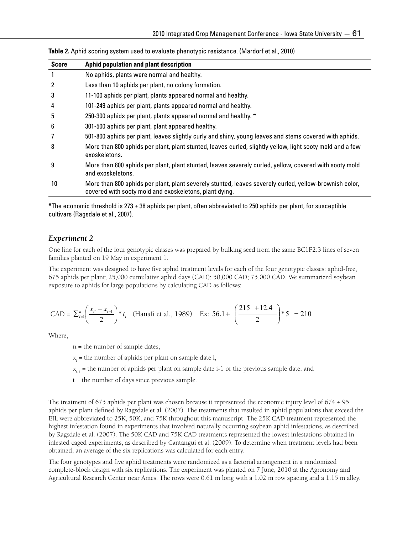| <b>Score</b>   | Aphid population and plant description                                                                                                                           |
|----------------|------------------------------------------------------------------------------------------------------------------------------------------------------------------|
| $\mathbf{1}$   | No aphids, plants were normal and healthy.                                                                                                                       |
| $\overline{2}$ | Less than 10 aphids per plant, no colony formation.                                                                                                              |
| 3              | 11-100 aphids per plant, plants appeared normal and healthy.                                                                                                     |
| 4              | 101-249 aphids per plant, plants appeared normal and healthy.                                                                                                    |
| 5              | 250-300 aphids per plant, plants appeared normal and healthy. *                                                                                                  |
| 6              | 301-500 aphids per plant, plant appeared healthy.                                                                                                                |
| 7              | 501-800 aphids per plant, leaves slightly curly and shiny, young leaves and stems covered with aphids.                                                           |
| 8              | More than 800 aphids per plant, plant stunted, leaves curled, slightly yellow, light sooty mold and a few<br>exoskeletons.                                       |
| 9              | More than 800 aphids per plant, plant stunted, leaves severely curled, yellow, covered with sooty mold<br>and exoskeletons.                                      |
| 10             | More than 800 aphids per plant, plant severely stunted, leaves severely curled, yellow-brownish color,<br>covered with sooty mold and exoskeletons, plant dying. |

**Table 2.** Aphid scoring system used to evaluate phenotypic resistance. (Mardorf et al., 2010)

 $*$ The economic threshold is 273  $\pm$  38 aphids per plant, often abbreviated to 250 aphids per plant, for susceptible cultivars (Ragsdale et al., 2007).

#### *Experiment 2*

One line for each of the four genotypic classes was prepared by bulking seed from the same BC1F2:3 lines of seven families planted on 19 May in experiment 1.

The experiment was designed to have five aphid treatment levels for each of the four genotypic classes: aphid-free, 675 aphids per plant; 25,000 cumulative aphid days (CAD); 50,000 CAD; 75,000 CAD. We summarized soybean exposure to aphids for large populations by calculating CAD as follows:

$$
\text{CAD} = \sum_{i=1}^{n} \left( \frac{x_{i'} + x_{i-1}}{2} \right) * t_{i'} \quad \text{(Hanafi et al., 1989)} \quad \text{Ex: } 56.1 + \left( \frac{215 + 12.4}{2} \right) * 5 = 210
$$

Where,

n = the number of sample dates,

x<sub>i</sub> = the number of aphids per plant on sample date i,

 $x_{i-1}$  = the number of aphids per plant on sample date i-1 or the previous sample date, and

t = the number of days since previous sample.

The treatment of 675 aphids per plant was chosen because it represented the economic injury level of 674  $\pm$  95 aphids per plant defined by Ragsdale et al. (2007). The treatments that resulted in aphid populations that exceed the EIL were abbreviated to 25K, 50K, and 75K throughout this manuscript. The 25K CAD treatment represented the highest infestation found in experiments that involved naturally occurring soybean aphid infestations, as described by Ragsdale et al. (2007). The 50K CAD and 75K CAD treatments represented the lowest infestations obtained in infested caged experiments, as described by Cantangui et al. (2009). To determine when treatment levels had been obtained, an average of the six replications was calculated for each entry.

The four genotypes and five aphid treatments were randomized as a factorial arrangement in a randomized complete-block design with six replications. The experiment was planted on 7 June, 2010 at the Agronomy and Agricultural Research Center near Ames. The rows were 0.61 m long with a 1.02 m row spacing and a 1.15 m alley.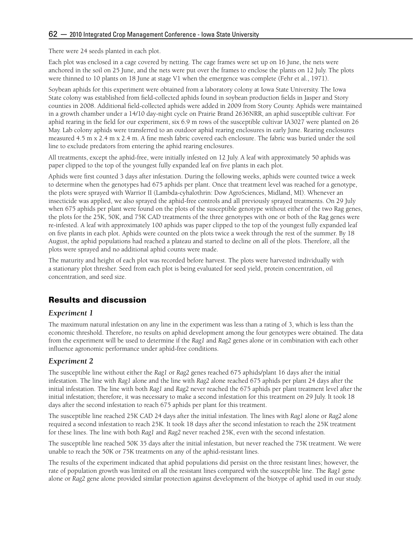There were 24 seeds planted in each plot.

Each plot was enclosed in a cage covered by netting. The cage frames were set up on 16 June, the nets were anchored in the soil on 25 June, and the nets were put over the frames to enclose the plants on 12 July. The plots were thinned to 10 plants on 18 June at stage V1 when the emergence was complete (Fehr et al., 1971).

Soybean aphids for this experiment were obtained from a laboratory colony at Iowa State University. The Iowa State colony was established from field-collected aphids found in soybean production fields in Jasper and Story counties in 2008. Additional field-collected aphids were added in 2009 from Story County. Aphids were maintained in a growth chamber under a 14/10 day-night cycle on Prairie Brand 2636NRR, an aphid susceptible cultivar. For aphid rearing in the field for our experiment, six 6.9 m rows of the susceptible cultivar IA3027 were planted on 26 May. Lab colony aphids were transferred to an outdoor aphid rearing enclosures in early June. Rearing enclosures measured 4.5 m x 2.4 m x 2.4 m. A fine mesh fabric covered each enclosure. The fabric was buried under the soil line to exclude predators from entering the aphid rearing enclosures.

All treatments, except the aphid-free, were initially infested on 12 July. A leaf with approximately 50 aphids was paper clipped to the top of the youngest fully expanded leaf on five plants in each plot.

Aphids were first counted 3 days after infestation. During the following weeks, aphids were counted twice a week to determine when the genotypes had 675 aphids per plant. Once that treatment level was reached for a genotype, the plots were sprayed with Warrior II (Lambda-cyhalothrin: Dow AgroSciences, Midland, MI). Whenever an insecticide was applied, we also sprayed the aphid-free controls and all previously sprayed treatments. On 29 July when 675 aphids per plant were found on the plots of the susceptible genotype without either of the two Rag genes, the plots for the 25K, 50K, and 75K CAD treatments of the three genotypes with one or both of the Rag genes were re-infested. A leaf with approximately 100 aphids was paper clipped to the top of the youngest fully expanded leaf on five plants in each plot. Aphids were counted on the plots twice a week through the rest of the summer. By 18 August, the aphid populations had reached a plateau and started to decline on all of the plots. Therefore, all the plots were sprayed and no additional aphid counts were made.

The maturity and height of each plot was recorded before harvest. The plots were harvested individually with a stationary plot thresher. Seed from each plot is being evaluated for seed yield, protein concentration, oil concentration, and seed size.

# Results and discussion

## *Experiment 1*

The maximum natural infestation on any line in the experiment was less than a rating of 3, which is less than the economic threshold. Therefore, no results on aphid development among the four genotypes were obtained. The data from the experiment will be used to determine if the *Rag1* and *Rag2* genes alone or in combination with each other influence agronomic performance under aphid-free conditions.

## *Experiment 2*

The susceptible line without either the *Rag1* or *Rag2* genes reached 675 aphids/plant 16 days after the initial infestation. The line with *Rag1* alone and the line with *Rag2* alone reached 675 aphids per plant 24 days after the initial infestation. The line with both *Rag1* and *Rag2* never reached the 675 aphids per plant treatment level after the initial infestation; therefore, it was necessary to make a second infestation for this treatment on 29 July. It took 18 days after the second infestation to reach 675 aphids per plant for this treatment.

The susceptible line reached 25K CAD 24 days after the initial infestation. The lines with *Rag1* alone or *Rag2* alone required a second infestation to reach 25K. It took 18 days after the second infestation to reach the 25K treatment for these lines. The line with both *Rag1* and *Rag2* never reached 25K, even with the second infestation.

The susceptible line reached 50K 35 days after the initial infestation, but never reached the 75K treatment. We were unable to reach the 50K or 75K treatments on any of the aphid-resistant lines.

The results of the experiment indicated that aphid populations did persist on the three resistant lines; however, the rate of population growth was limited on all the resistant lines compared with the susceptible line. The *Rag1* gene alone or *Rag2* gene alone provided similar protection against development of the biotype of aphid used in our study.